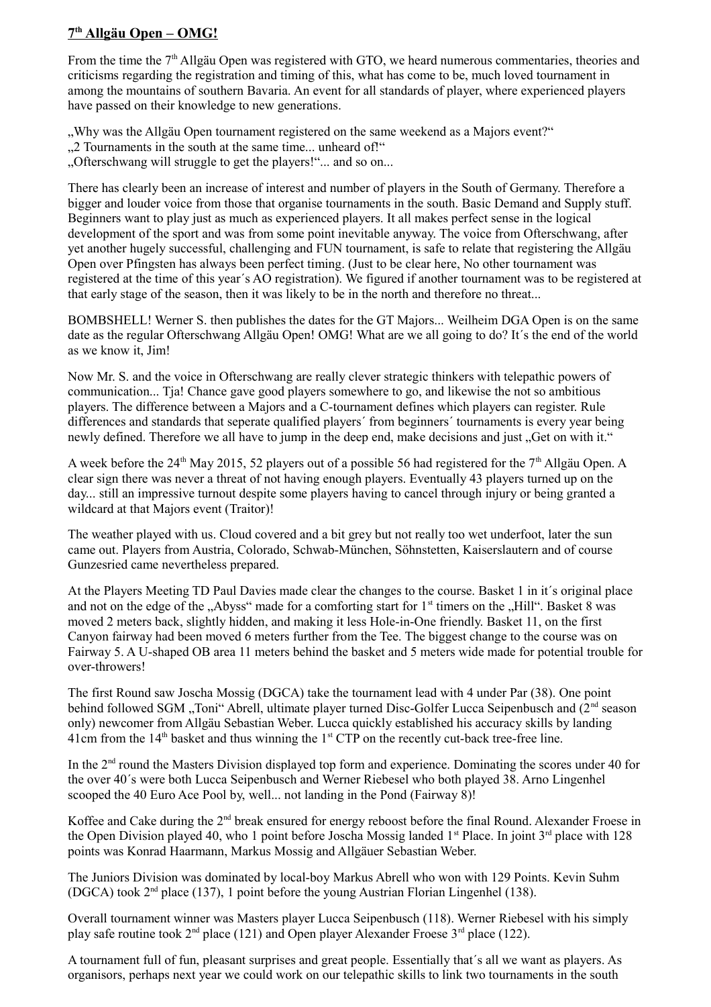## **7 th Allgäu Open – OMG!**

From the time the 7<sup>th</sup> Allgäu Open was registered with GTO, we heard numerous commentaries, theories and criticisms regarding the registration and timing of this, what has come to be, much loved tournament in among the mountains of southern Bavaria. An event for all standards of player, where experienced players have passed on their knowledge to new generations.

"Why was the Allgäu Open tournament registered on the same weekend as a Majors event?"

...2 Tournaments in the south at the same time... unheard of!"

"Ofterschwang will struggle to get the players!"... and so on...

There has clearly been an increase of interest and number of players in the South of Germany. Therefore a bigger and louder voice from those that organise tournaments in the south. Basic Demand and Supply stuff. Beginners want to play just as much as experienced players. It all makes perfect sense in the logical development of the sport and was from some point inevitable anyway. The voice from Ofterschwang, after yet another hugely successful, challenging and FUN tournament, is safe to relate that registering the Allgäu Open over Pfingsten has always been perfect timing. (Just to be clear here, No other tournament was registered at the time of this year´s AO registration). We figured if another tournament was to be registered at that early stage of the season, then it was likely to be in the north and therefore no threat...

BOMBSHELL! Werner S. then publishes the dates for the GT Majors... Weilheim DGA Open is on the same date as the regular Ofterschwang Allgäu Open! OMG! What are we all going to do? It´s the end of the world as we know it, Jim!

Now Mr. S. and the voice in Ofterschwang are really clever strategic thinkers with telepathic powers of communication... Tja! Chance gave good players somewhere to go, and likewise the not so ambitious players. The difference between a Majors and a C-tournament defines which players can register. Rule differences and standards that seperate qualified players´ from beginners´ tournaments is every year being newly defined. Therefore we all have to jump in the deep end, make decisions and just "Get on with it."

A week before the 24<sup>th</sup> May 2015, 52 players out of a possible 56 had registered for the 7<sup>th</sup> Allgäu Open. A clear sign there was never a threat of not having enough players. Eventually 43 players turned up on the day... still an impressive turnout despite some players having to cancel through injury or being granted a wildcard at that Majors event (Traitor)!

The weather played with us. Cloud covered and a bit grey but not really too wet underfoot, later the sun came out. Players from Austria, Colorado, Schwab-München, Söhnstetten, Kaiserslautern and of course Gunzesried came nevertheless prepared.

At the Players Meeting TD Paul Davies made clear the changes to the course. Basket 1 in it´s original place and not on the edge of the "Abyss" made for a comforting start for  $1<sup>st</sup>$  timers on the "Hill". Basket 8 was moved 2 meters back, slightly hidden, and making it less Hole-in-One friendly. Basket 11, on the first Canyon fairway had been moved 6 meters further from the Tee. The biggest change to the course was on Fairway 5. A U-shaped OB area 11 meters behind the basket and 5 meters wide made for potential trouble for over-throwers!

The first Round saw Joscha Mossig (DGCA) take the tournament lead with 4 under Par (38). One point behind followed SGM ..Toni" Abrell, ultimate player turned Disc-Golfer Lucca Seipenbusch and (2<sup>nd</sup> season only) newcomer from Allgäu Sebastian Weber. Lucca quickly established his accuracy skills by landing 41cm from the  $14<sup>th</sup>$  basket and thus winning the  $1<sup>st</sup> CTP$  on the recently cut-back tree-free line.

In the  $2<sup>nd</sup>$  round the Masters Division displayed top form and experience. Dominating the scores under 40 for the over 40´s were both Lucca Seipenbusch and Werner Riebesel who both played 38. Arno Lingenhel scooped the 40 Euro Ace Pool by, well... not landing in the Pond (Fairway 8)!

Koffee and Cake during the 2<sup>nd</sup> break ensured for energy reboost before the final Round. Alexander Froese in the Open Division played 40, who 1 point before Joscha Mossig landed  $1<sup>st</sup>$  Place. In joint  $3<sup>rd</sup>$  place with 128 points was Konrad Haarmann, Markus Mossig and Allgäuer Sebastian Weber.

The Juniors Division was dominated by local-boy Markus Abrell who won with 129 Points. Kevin Suhm (DGCA) took  $2<sup>nd</sup>$  place (137), 1 point before the young Austrian Florian Lingenhel (138).

Overall tournament winner was Masters player Lucca Seipenbusch (118). Werner Riebesel with his simply play safe routine took  $2^{nd}$  place (121) and Open player Alexander Froese  $3^{rd}$  place (122).

A tournament full of fun, pleasant surprises and great people. Essentially that´s all we want as players. As organisors, perhaps next year we could work on our telepathic skills to link two tournaments in the south